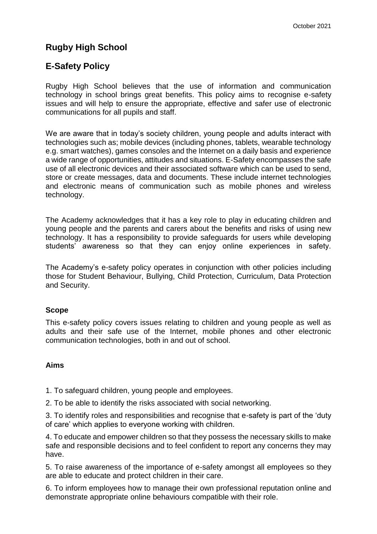# **Rugby High School**

# **E-Safety Policy**

Rugby High School believes that the use of information and communication technology in school brings great benefits. This policy aims to recognise e-safety issues and will help to ensure the appropriate, effective and safer use of electronic communications for all pupils and staff.

We are aware that in today's society children, young people and adults interact with technologies such as; mobile devices (including phones, tablets, wearable technology e.g. smart watches), games consoles and the Internet on a daily basis and experience a wide range of opportunities, attitudes and situations. E-Safety encompasses the safe use of all electronic devices and their associated software which can be used to send, store or create messages, data and documents. These include internet technologies and electronic means of communication such as mobile phones and wireless technology.

The Academy acknowledges that it has a key role to play in educating children and young people and the parents and carers about the benefits and risks of using new technology. It has a responsibility to provide safeguards for users while developing students' awareness so that they can enjoy online experiences in safety.

The Academy's e-safety policy operates in conjunction with other policies including those for Student Behaviour, Bullying, Child Protection, Curriculum, Data Protection and Security.

## **Scope**

This e-safety policy covers issues relating to children and young people as well as adults and their safe use of the Internet, mobile phones and other electronic communication technologies, both in and out of school.

## **Aims**

1. To safeguard children, young people and employees.

2. To be able to identify the risks associated with social networking.

3. To identify roles and responsibilities and recognise that e-safety is part of the 'duty of care' which applies to everyone working with children.

4. To educate and empower children so that they possess the necessary skills to make safe and responsible decisions and to feel confident to report any concerns they may have.

5. To raise awareness of the importance of e-safety amongst all employees so they are able to educate and protect children in their care.

6. To inform employees how to manage their own professional reputation online and demonstrate appropriate online behaviours compatible with their role.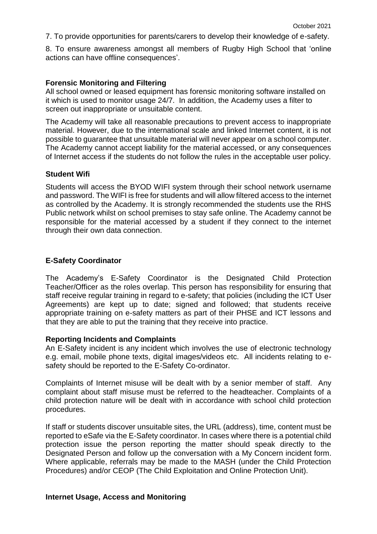7. To provide opportunities for parents/carers to develop their knowledge of e-safety.

8. To ensure awareness amongst all members of Rugby High School that 'online actions can have offline consequences'.

#### **Forensic Monitoring and Filtering**

All school owned or leased equipment has forensic monitoring software installed on it which is used to monitor usage 24/7. In addition, the Academy uses a filter to screen out inappropriate or unsuitable content.

The Academy will take all reasonable precautions to prevent access to inappropriate material. However, due to the international scale and linked Internet content, it is not possible to guarantee that unsuitable material will never appear on a school computer. The Academy cannot accept liability for the material accessed, or any consequences of Internet access if the students do not follow the rules in the acceptable user policy.

#### **Student Wifi**

Students will access the BYOD WIFI system through their school network username and password. The WIFI is free for students and will allow filtered access to the internet as controlled by the Academy. It is strongly recommended the students use the RHS Public network whilst on school premises to stay safe online. The Academy cannot be responsible for the material accessed by a student if they connect to the internet through their own data connection.

### **E-Safety Coordinator**

The Academy's E-Safety Coordinator is the Designated Child Protection Teacher/Officer as the roles overlap. This person has responsibility for ensuring that staff receive regular training in regard to e-safety; that policies (including the ICT User Agreements) are kept up to date; signed and followed; that students receive appropriate training on e-safety matters as part of their PHSE and ICT lessons and that they are able to put the training that they receive into practice.

#### **Reporting Incidents and Complaints**

An E-Safety incident is any incident which involves the use of electronic technology e.g. email, mobile phone texts, digital images/videos etc. All incidents relating to esafety should be reported to the E-Safety Co-ordinator.

Complaints of Internet misuse will be dealt with by a senior member of staff. Any complaint about staff misuse must be referred to the headteacher. Complaints of a child protection nature will be dealt with in accordance with school child protection procedures.

If staff or students discover unsuitable sites, the URL (address), time, content must be reported to eSafe via the E-Safety coordinator. In cases where there is a potential child protection issue the person reporting the matter should speak directly to the Designated Person and follow up the conversation with a My Concern incident form. Where applicable, referrals may be made to the MASH (under the Child Protection Procedures) and/or CEOP (The Child Exploitation and Online Protection Unit).

#### **Internet Usage, Access and Monitoring**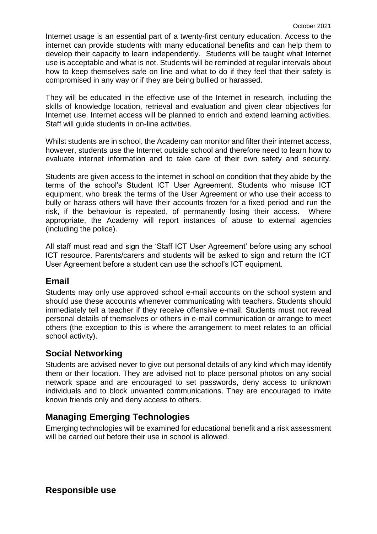Internet usage is an essential part of a twenty-first century education. Access to the internet can provide students with many educational benefits and can help them to develop their capacity to learn independently. Students will be taught what Internet use is acceptable and what is not. Students will be reminded at regular intervals about how to keep themselves safe on line and what to do if they feel that their safety is compromised in any way or if they are being bullied or harassed.

They will be educated in the effective use of the Internet in research, including the skills of knowledge location, retrieval and evaluation and given clear objectives for Internet use. Internet access will be planned to enrich and extend learning activities. Staff will guide students in on-line activities.

Whilst students are in school, the Academy can monitor and filter their internet access, however, students use the Internet outside school and therefore need to learn how to evaluate internet information and to take care of their own safety and security.

Students are given access to the internet in school on condition that they abide by the terms of the school's Student ICT User Agreement. Students who misuse ICT equipment, who break the terms of the User Agreement or who use their access to bully or harass others will have their accounts frozen for a fixed period and run the risk, if the behaviour is repeated, of permanently losing their access. Where appropriate, the Academy will report instances of abuse to external agencies (including the police).

All staff must read and sign the 'Staff ICT User Agreement' before using any school ICT resource. Parents/carers and students will be asked to sign and return the ICT User Agreement before a student can use the school's ICT equipment.

## **Email**

Students may only use approved school e-mail accounts on the school system and should use these accounts whenever communicating with teachers. Students should immediately tell a teacher if they receive offensive e-mail. Students must not reveal personal details of themselves or others in e-mail communication or arrange to meet others (the exception to this is where the arrangement to meet relates to an official school activity).

## **Social Networking**

Students are advised never to give out personal details of any kind which may identify them or their location. They are advised not to place personal photos on any social network space and are encouraged to set passwords, deny access to unknown individuals and to block unwanted communications. They are encouraged to invite known friends only and deny access to others.

# **Managing Emerging Technologies**

Emerging technologies will be examined for educational benefit and a risk assessment will be carried out before their use in school is allowed.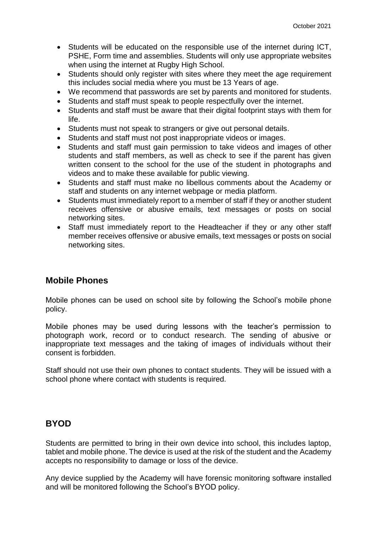- Students will be educated on the responsible use of the internet during ICT, PSHE, Form time and assemblies. Students will only use appropriate websites when using the internet at Rugby High School.
- Students should only register with sites where they meet the age requirement this includes social media where you must be 13 Years of age.
- We recommend that passwords are set by parents and monitored for students.
- Students and staff must speak to people respectfully over the internet.
- Students and staff must be aware that their digital footprint stays with them for life.
- Students must not speak to strangers or give out personal details.
- Students and staff must not post inappropriate videos or images.
- Students and staff must gain permission to take videos and images of other students and staff members, as well as check to see if the parent has given written consent to the school for the use of the student in photographs and videos and to make these available for public viewing.
- Students and staff must make no libellous comments about the Academy or staff and students on any internet webpage or media platform.
- Students must immediately report to a member of staff if they or another student receives offensive or abusive emails, text messages or posts on social networking sites.
- Staff must immediately report to the Headteacher if they or any other staff member receives offensive or abusive emails, text messages or posts on social networking sites.

# **Mobile Phones**

Mobile phones can be used on school site by following the School's mobile phone policy.

Mobile phones may be used during lessons with the teacher's permission to photograph work, record or to conduct research. The sending of abusive or inappropriate text messages and the taking of images of individuals without their consent is forbidden.

Staff should not use their own phones to contact students. They will be issued with a school phone where contact with students is required.

## **BYOD**

Students are permitted to bring in their own device into school, this includes laptop, tablet and mobile phone. The device is used at the risk of the student and the Academy accepts no responsibility to damage or loss of the device.

Any device supplied by the Academy will have forensic monitoring software installed and will be monitored following the School's BYOD policy.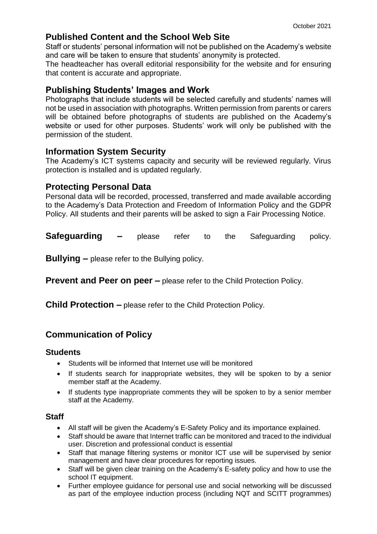## **Published Content and the School Web Site**

Staff or students' personal information will not be published on the Academy's website and care will be taken to ensure that students' anonymity is protected.

The headteacher has overall editorial responsibility for the website and for ensuring that content is accurate and appropriate.

## **Publishing Students' Images and Work**

Photographs that include students will be selected carefully and students' names will not be used in association with photographs. Written permission from parents or carers will be obtained before photographs of students are published on the Academy's website or used for other purposes. Students' work will only be published with the permission of the student.

## **Information System Security**

The Academy's ICT systems capacity and security will be reviewed regularly. Virus protection is installed and is updated regularly.

## **Protecting Personal Data**

Personal data will be recorded, processed, transferred and made available according to the Academy's Data Protection and Freedom of Information Policy and the GDPR Policy. All students and their parents will be asked to sign a Fair Processing Notice.

**Safeguarding –** please refer to the Safeguarding policy.

**Bullying –** please refer to the Bullying policy.

**Prevent and Peer on peer –** please refer to the Child Protection Policy.

**Child Protection –** please refer to the Child Protection Policy.

# **Communication of Policy**

## **Students**

- Students will be informed that Internet use will be monitored
- If students search for inappropriate websites, they will be spoken to by a senior member staff at the Academy.
- If students type inappropriate comments they will be spoken to by a senior member staff at the Academy.

## **Staff**

- All staff will be given the Academy's E-Safety Policy and its importance explained.
- Staff should be aware that Internet traffic can be monitored and traced to the individual user. Discretion and professional conduct is essential
- Staff that manage filtering systems or monitor ICT use will be supervised by senior management and have clear procedures for reporting issues.
- Staff will be given clear training on the Academy's E-safety policy and how to use the school IT equipment.
- Further employee guidance for personal use and social networking will be discussed as part of the employee induction process (including NQT and SCITT programmes)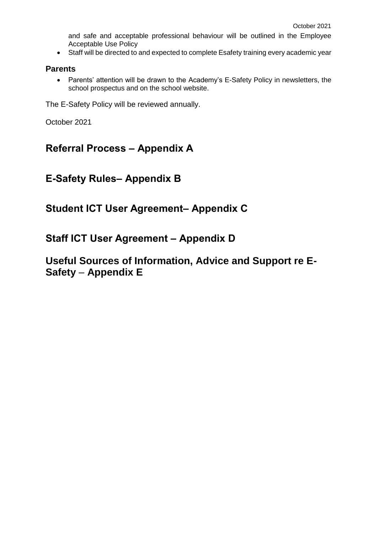and safe and acceptable professional behaviour will be outlined in the Employee Acceptable Use Policy

Staff will be directed to and expected to complete Esafety training every academic year

### **Parents**

 Parents' attention will be drawn to the Academy's E-Safety Policy in newsletters, the school prospectus and on the school website.

The E-Safety Policy will be reviewed annually.

October 2021

# **Referral Process – Appendix A**

# **E-Safety Rules– Appendix B**

# **Student ICT User Agreement– Appendix C**

# **Staff ICT User Agreement – Appendix D**

# **Useful Sources of Information, Advice and Support re E-Safety** – **Appendix E**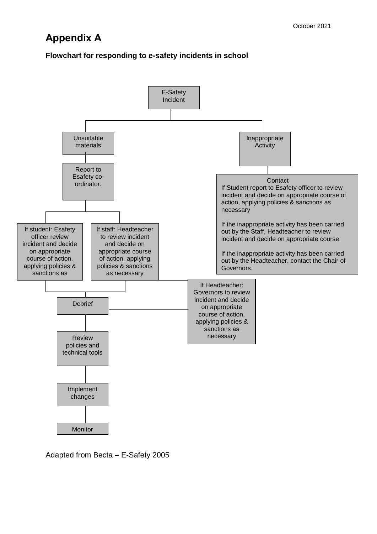# **Appendix A**

## **Flowchart for responding to e-safety incidents in school**



Adapted from Becta – E-Safety 2005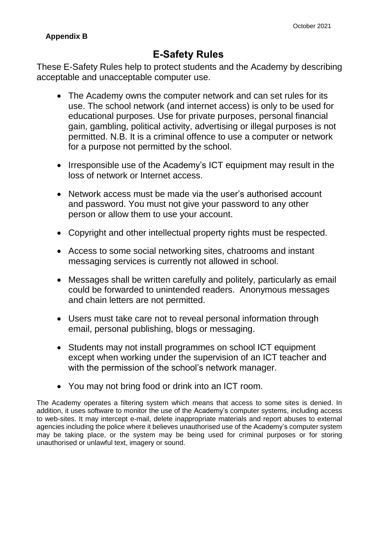## **Appendix B**

# **E-Safety Rules**

These E-Safety Rules help to protect students and the Academy by describing acceptable and unacceptable computer use.

- The Academy owns the computer network and can set rules for its use. The school network (and internet access) is only to be used for educational purposes. Use for private purposes, personal financial gain, gambling, political activity, advertising or illegal purposes is not permitted. N.B. It is a criminal offence to use a computer or network for a purpose not permitted by the school.
- Irresponsible use of the Academy's ICT equipment may result in the loss of network or Internet access.
- Network access must be made via the user's authorised account and password. You must not give your password to any other person or allow them to use your account.
- Copyright and other intellectual property rights must be respected.
- Access to some social networking sites, chatrooms and instant messaging services is currently not allowed in school.
- Messages shall be written carefully and politely, particularly as email could be forwarded to unintended readers. Anonymous messages and chain letters are not permitted.
- Users must take care not to reveal personal information through email, personal publishing, blogs or messaging.
- Students may not install programmes on school ICT equipment except when working under the supervision of an ICT teacher and with the permission of the school's network manager.
- You may not bring food or drink into an ICT room.

The Academy operates a filtering system which means that access to some sites is denied. In addition, it uses software to monitor the use of the Academy's computer systems, including access to web-sites. It may intercept e-mail, delete inappropriate materials and report abuses to external agencies including the police where it believes unauthorised use of the Academy's computer system may be taking place, or the system may be being used for criminal purposes or for storing unauthorised or unlawful text, imagery or sound.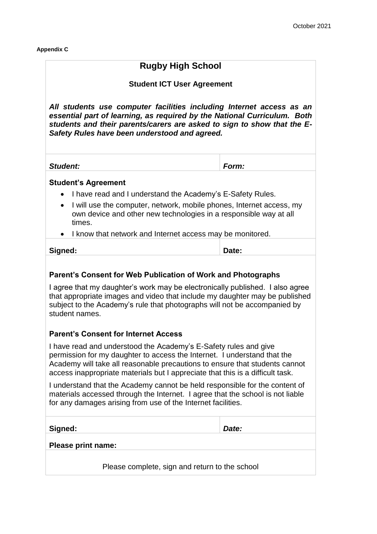**Appendix C**

## **Rugby High School**

### **Student ICT User Agreement**

*All students use computer facilities including Internet access as an essential part of learning, as required by the National Curriculum. Both students and their parents/carers are asked to sign to show that the E-Safety Rules have been understood and agreed.*

*Student: Form:* 

### **Student's Agreement**

- I have read and I understand the Academy's E-Safety Rules.
- I will use the computer, network, mobile phones, Internet access, my own device and other new technologies in a responsible way at all times.
- I know that network and Internet access may be monitored.

## **Parent's Consent for Web Publication of Work and Photographs**

I agree that my daughter's work may be electronically published. I also agree that appropriate images and video that include my daughter may be published subject to the Academy's rule that photographs will not be accompanied by student names.

### **Parent's Consent for Internet Access**

I have read and understood the Academy's E-Safety rules and give permission for my daughter to access the Internet. I understand that the Academy will take all reasonable precautions to ensure that students cannot access inappropriate materials but I appreciate that this is a difficult task.

I understand that the Academy cannot be held responsible for the content of materials accessed through the Internet. I agree that the school is not liable for any damages arising from use of the Internet facilities.

**Signed:** *Date:* 

#### **Please print name:**

Please complete, sign and return to the school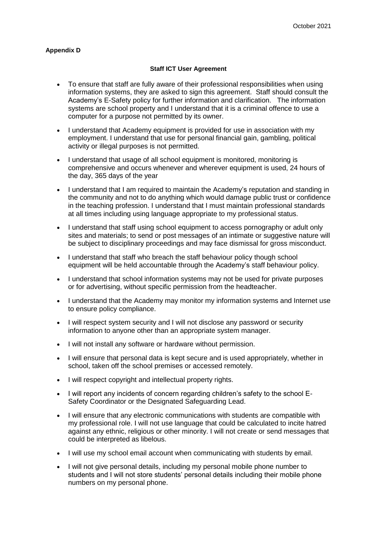#### **Appendix D**

#### **Staff ICT User Agreement**

- To ensure that staff are fully aware of their professional responsibilities when using information systems, they are asked to sign this agreement. Staff should consult the Academy's E-Safety policy for further information and clarification. The information systems are school property and I understand that it is a criminal offence to use a computer for a purpose not permitted by its owner.
- I understand that Academy equipment is provided for use in association with my employment. I understand that use for personal financial gain, gambling, political activity or illegal purposes is not permitted.
- I understand that usage of all school equipment is monitored, monitoring is comprehensive and occurs whenever and wherever equipment is used, 24 hours of the day, 365 days of the year
- I understand that I am required to maintain the Academy's reputation and standing in the community and not to do anything which would damage public trust or confidence in the teaching profession. I understand that I must maintain professional standards at all times including using language appropriate to my professional status.
- I understand that staff using school equipment to access pornography or adult only sites and materials; to send or post messages of an intimate or suggestive nature will be subject to disciplinary proceedings and may face dismissal for gross misconduct.
- I understand that staff who breach the staff behaviour policy though school equipment will be held accountable through the Academy's staff behaviour policy.
- I understand that school information systems may not be used for private purposes or for advertising, without specific permission from the headteacher.
- I understand that the Academy may monitor my information systems and Internet use to ensure policy compliance.
- I will respect system security and I will not disclose any password or security information to anyone other than an appropriate system manager.
- I will not install any software or hardware without permission.
- I will ensure that personal data is kept secure and is used appropriately, whether in school, taken off the school premises or accessed remotely.
- I will respect copyright and intellectual property rights.
- I will report any incidents of concern regarding children's safety to the school E-Safety Coordinator or the Designated Safeguarding Lead.
- I will ensure that any electronic communications with students are compatible with my professional role. I will not use language that could be calculated to incite hatred against any ethnic, religious or other minority. I will not create or send messages that could be interpreted as libelous.
- I will use my school email account when communicating with students by email.
- I will not give personal details, including my personal mobile phone number to students and I will not store students' personal details including their mobile phone numbers on my personal phone.